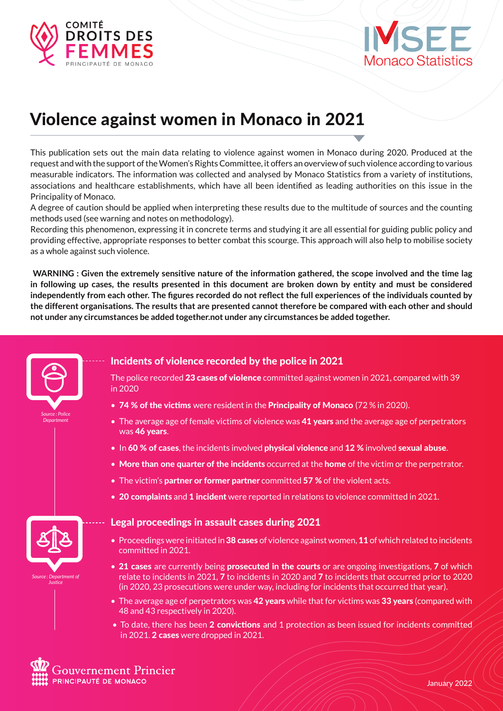



# Violence against women in Monaco in 2021

This publication sets out the main data relating to violence against women in Monaco during 2020. Produced at the request and with the support of the Women's Rights Committee, it offers an overview of such violence according to various measurable indicators. The information was collected and analysed by Monaco Statistics from a variety of institutions, associations and healthcare establishments, which have all been identified as leading authorities on this issue in the Principality of Monaco.

A degree of caution should be applied when interpreting these results due to the multitude of sources and the counting methods used (see warning and notes on methodology).

Recording this phenomenon, expressing it in concrete terms and studying it are all essential for guiding public policy and providing effective, appropriate responses to better combat this scourge. This approach will also help to mobilise society as a whole against such violence.

 **WARNING : Given the extremely sensitive nature of the information gathered, the scope involved and the time lag in following up cases, the results presented in this document are broken down by entity and must be considered independently from each other. The figures recorded do not reflect the full experiences of the individuals counted by the different organisations. The results that are presented cannot therefore be compared with each other and should not under any circumstances be added together.not under any circumstances be added together.**



*Department*



*Source : Department of Justice*

Incidents of violence recorded by the police in 2021 The police recorded 23 cases of violence committed against women in 2021, compared with 39

in 2020

- 74 % of the victims were resident in the Principality of Monaco (72 % in 2020).
- $\bullet$  The average age of female victims of violence was **41 years** and the average age of perpetrators was 46 years.
- In 60 % of cases, the incidents involved physical violence and 12 % involved sexual abuse.
- More than one quarter of the incidents occurred at the home of the victim or the perpetrator.
- The victim's **partner or former partner** committed 57 % of the violent acts.
- 20 complaints and 1 incident were reported in relations to violence committed in 2021.

#### Legal proceedings in assault cases during 2021

- Proceedings were initiated in 38 cases of violence against women, 11 of which related to incidents committed in 2021.
- 21 cases are currently being prosecuted in the courts or are ongoing investigations, 7 of which relate to incidents in 2021, 7 to incidents in 2020 and 7 to incidents that occurred prior to 2020 (in 2020, 23 prosecutions were under way, including for incidents that occurred that year).
- The average age of perpetrators was 42 years while that for victims was 33 years (compared with 48 and 43 respectively in 2020).
- To date, there has been 2 convictions and 1 protection as been issued for incidents committed in 2021. 2 cases were dropped in 2021.



January 2022